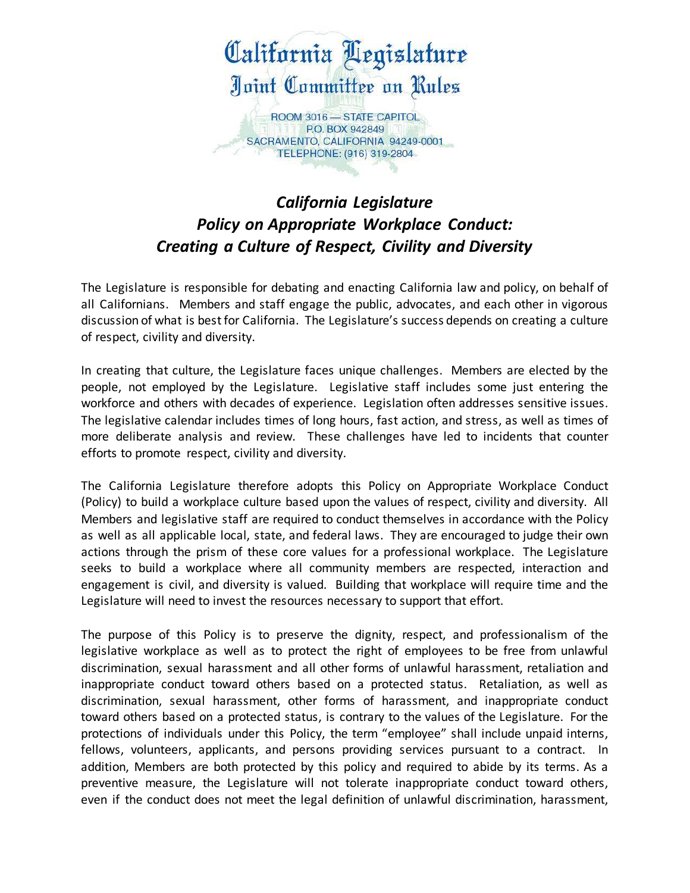

## *California Legislature Policy on Appropriate Workplace Conduct: Creating a Culture of Respect, Civility and Diversity*

The Legislature is responsible for debating and enacting California law and policy, on behalf of all Californians. Members and staff engage the public, advocates, and each other in vigorous discussion of what is best for California. The Legislature's success depends on creating a culture of respect, civility and diversity.

In creating that culture, the Legislature faces unique challenges. Members are elected by the people, not employed by the Legislature. Legislative staff includes some just entering the workforce and others with decades of experience. Legislation often addresses sensitive issues. The legislative calendar includes times of long hours, fast action, and stress, as well as times of more deliberate analysis and review. These challenges have led to incidents that counter efforts to promote respect, civility and diversity.

The California Legislature therefore adopts this Policy on Appropriate Workplace Conduct (Policy) to build a workplace culture based upon the values of respect, civility and diversity. All Members and legislative staff are required to conduct themselves in accordance with the Policy as well as all applicable local, state, and federal laws. They are encouraged to judge their own actions through the prism of these core values for a professional workplace. The Legislature seeks to build a workplace where all community members are respected, interaction and engagement is civil, and diversity is valued. Building that workplace will require time and the Legislature will need to invest the resources necessary to support that effort.

The purpose of this Policy is to preserve the dignity, respect, and professionalism of the legislative workplace as well as to protect the right of employees to be free from unlawful discrimination, sexual harassment and all other forms of unlawful harassment, retaliation and inappropriate conduct toward others based on a protected status. Retaliation, as well as discrimination, sexual harassment, other forms of harassment, and inappropriate conduct toward others based on a protected status, is contrary to the values of the Legislature. For the protections of individuals under this Policy, the term "employee" shall include unpaid interns, fellows, volunteers, applicants, and persons providing services pursuant to a contract. In addition, Members are both protected by this policy and required to abide by its terms. As a preventive measure, the Legislature will not tolerate inappropriate conduct toward others, even if the conduct does not meet the legal definition of unlawful discrimination, harassment,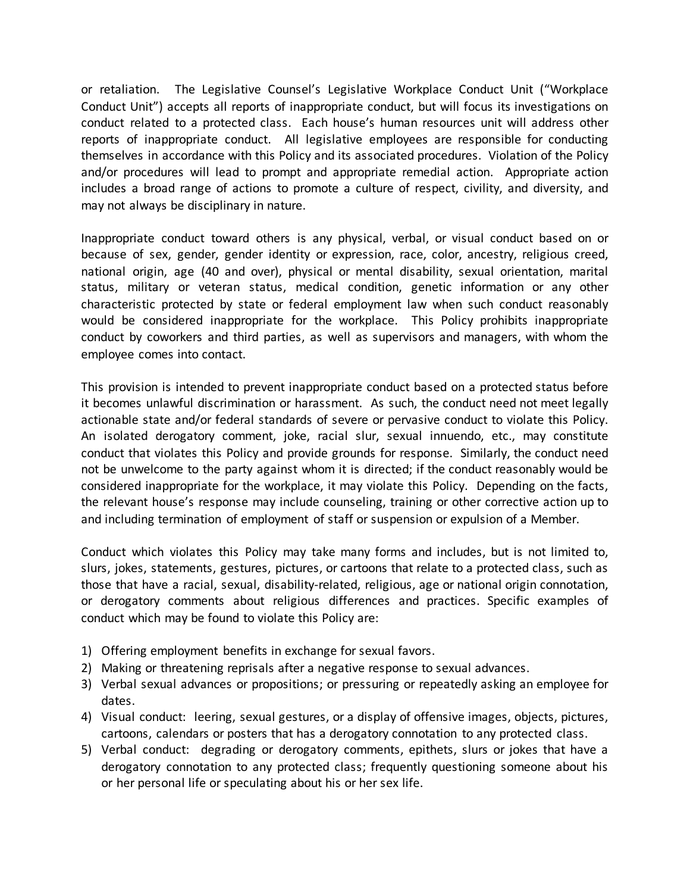or retaliation. The Legislative Counsel's Legislative Workplace Conduct Unit ("Workplace reports of inappropriate conduct. All legislative employees are responsible for conducting themselves in accordance with this Policy and its associated procedures. Violation of the Policy and/or procedures will lead to prompt and appropriate remedial action. Appropriate action may not always be disciplinary in nature. Conduct Unit") accepts all reports of inappropriate conduct, but will focus its investigations on conduct related to a protected class. Each house's human resources unit will address other includes a broad range of actions to promote a culture of respect, civility, and diversity, and

may not always be disciplinary in nature.<br>Inappropriate conduct toward others is any physical, verbal, or visual conduct based on or because of sex, gender, gender identity or expression, race, color, ancestry, religious creed, national origin, age (40 and over), physical or mental disability, sexual orientation, marital status, military or veteran status, medical condition, genetic information or any other would be considered inappropriate for the workplace. This Policy prohibits inappropriate conduct by coworkers and third parties, as well as supervisors and managers, with whom the employee comes into contact. characteristic protected by state or federal employment law when such conduct reasonably

employee comes into contact.<br>This provision is intended to prevent inappropriate conduct based on a protected status before actionable state and/or federal standards of severe or pervasive conduct to violate this Policy. conduct that violates this Policy and provide grounds for response. Similarly, the conduct need not be unwelcome to the party against whom it is directed; if the conduct reasonably would be considered inappropriate for the workplace, it may violate this Policy. Depending on the facts, it becomes unlawful discrimination or harassment. As such, the conduct need not meet legally An isolated derogatory comment, joke, racial slur, sexual innuendo, etc., may constitute the relevant house's response may include counseling, training or other corrective action up to and including termination of employment of staff or suspension or expulsion of a Member.

 Conduct which violates this Policy may take many forms and includes, but is not limited to, slurs, jokes, statements, gestures, pictures, or cartoons that relate to a protected class, such as those that have a racial, sexual, disability-related, religious, age or national origin connotation, or derogatory comments about religious differences and practices. Specific examples of conduct which may be found to violate this Policy are:

- 1) Offering employment benefits in exchange for sexual favors.
- 2) Making or threatening reprisals after a negative response to sexual advances.
- 3) Verbal sexual advances or propositions; or pressuring or repeatedly asking an employee for dates.
- 4) Visual conduct: leering, sexual gestures, or a display of offensive images, objects, pictures, cartoons, calendars or posters that has a derogatory connotation to any protected class.
- 5) Verbal conduct: degrading or derogatory comments, epithets, slurs or jokes that have a derogatory connotation to any protected class; frequently questioning someone about his or her personal life or speculating about his or her sex life.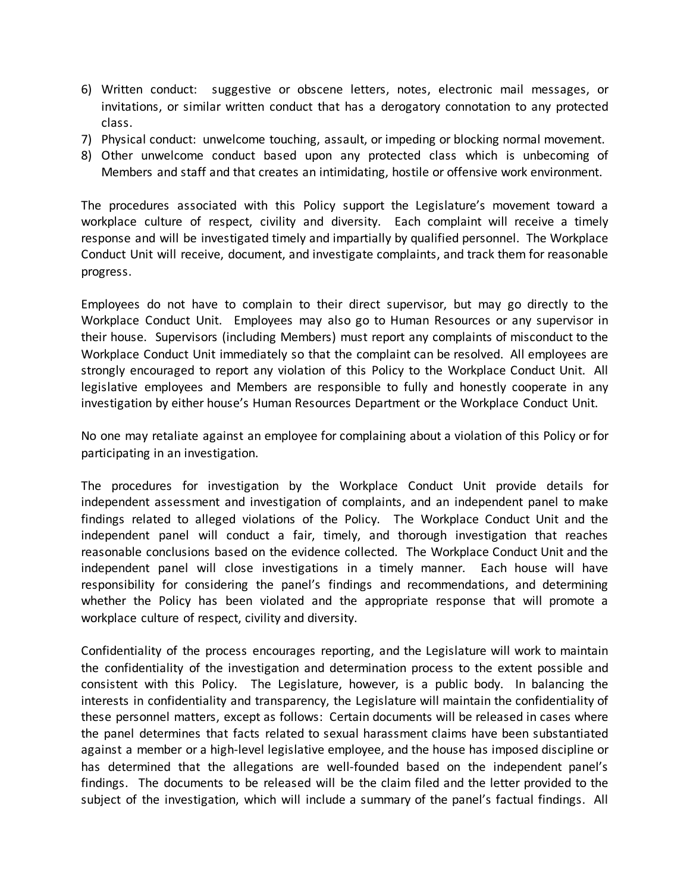- 6) Written conduct: suggestive or obscene letters, notes, electronic mail messages, or invitations, or similar written conduct that has a derogatory connotation to any protected class.
- 7) Physical conduct: unwelcome touching, assault, or impeding or blocking normal movement.
- 8) Other unwelcome conduct based upon any protected class which is unbecoming of Members and staff and that creates an intimidating, hostile or offensive work environment.

 The procedures associated with this Policy support the Legislature's movement toward a workplace culture of respect, civility and diversity. Each complaint will receive a timely response and will be investigated timely and impartially by qualified personnel. The Workplace progress. Conduct Unit will receive, document, and investigate complaints, and track them for reasonable

progress.<br>Employees do not have to complain to their direct supervisor, but may go directly to the Workplace Conduct Unit. Employees may also go to Human Resources or any supervisor in their house. Supervisors (including Members) must report any complaints of misconduct to the Workplace Conduct Unit immediately so that the complaint can be resolved. All employees are strongly encouraged to report any violation of this Policy to the Workplace Conduct Unit. All legislative employees and Members are responsible to fully and honestly cooperate in any investigation by either house's Human Resources Department or the Workplace Conduct Unit.

 No one may retaliate against an employee for complaining about a violation of this Policy or for participating in an investigation.

participating in an investigation.<br>The procedures for investigation by the Workplace Conduct Unit provide details for independent assessment and investigation of complaints, and an independent panel to make findings related to alleged violations of the Policy. The Workplace Conduct Unit and the independent panel will conduct a fair, timely, and thorough investigation that reaches reasonable conclusions based on the evidence collected. The Workplace Conduct Unit and the whether the Policy has been violated and the appropriate response that will promote a workplace culture of respect, civility and diversity. independent panel will close investigations in a timely manner. Each house will have responsibility for considering the panel's findings and recommendations, and determining

 Confidentiality of the process encourages reporting, and the Legislature will work to maintain consistent with this Policy. The Legislature, however, is a public body. In balancing the interests in confidentiality and transparency, the Legislature will maintain the confidentiality of these personnel matters, except as follows: Certain documents will be released in cases where the panel determines that facts related to sexual harassment claims have been substantiated has determined that the allegations are well-founded based on the independent panel's findings. The documents to be released will be the claim filed and the letter provided to the subject of the investigation, which will include a summary of the panel's factual findings. All the confidentiality of the investigation and determination process to the extent possible and against a member or a high-level legislative employee, and the house has imposed discipline or